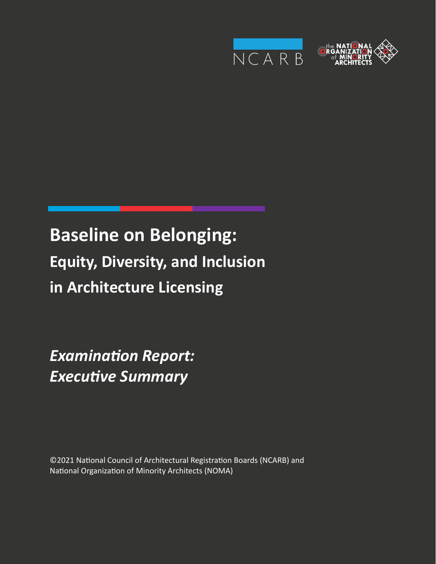



# **Baseline on Belonging: Equity, Diversity, and Inclusion in Architecture Licensing**

*Examination Report: Executive Summary*

©2021 National Council of Architectural Registration Boards (NCARB) and National Organization of Minority Architects (NOMA)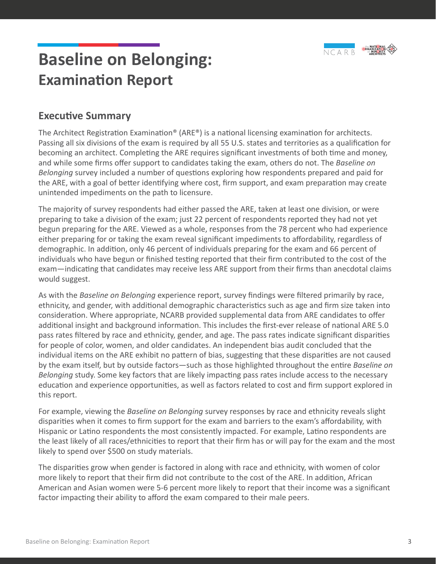

#### **Executive Summary**

The Architect Registration Examination® (ARE®) is a national licensing examination for architects. Passing all six divisions of the exam is required by all 55 U.S. states and territories as a qualification for becoming an architect. Completing the ARE requires significant investments of both time and money, and while some firms offer support to candidates taking the exam, others do not. The *Baseline on Belonging* survey included a number of questions exploring how respondents prepared and paid for the ARE, with a goal of better identifying where cost, firm support, and exam preparation may create unintended impediments on the path to licensure.

The majority of survey respondents had either passed the ARE, taken at least one division, or were preparing to take a division of the exam; just 22 percent of respondents reported they had not yet begun preparing for the ARE. Viewed as a whole, responses from the 78 percent who had experience either preparing for or taking the exam reveal significant impediments to affordability, regardless of demographic. In addition, only 46 percent of individuals preparing for the exam and 66 percent of individuals who have begun or finished testing reported that their firm contributed to the cost of the exam—indicating that candidates may receive less ARE support from their firms than anecdotal claims would suggest.

As with the *Baseline on Belonging* experience report, survey findings were filtered primarily by race, ethnicity, and gender, with additional demographic characteristics such as age and firm size taken into consideration. Where appropriate, NCARB provided supplemental data from ARE candidates to offer additional insight and background information. This includes the first-ever release of national ARE 5.0 pass rates filtered by race and ethnicity, gender, and age. The pass rates indicate significant disparities for people of color, women, and older candidates. An independent bias audit concluded that the individual items on the ARE exhibit no pattern of bias, suggesting that these disparities are not caused by the exam itself, but by outside factors—such as those highlighted throughout the entire *Baseline on Belonging* study. Some key factors that are likely impacting pass rates include access to the necessary education and experience opportunities, as well as factors related to cost and firm support explored in this report.

For example, viewing the *Baseline on Belonging* survey responses by race and ethnicity reveals slight disparities when it comes to firm support for the exam and barriers to the exam's affordability, with Hispanic or Latino respondents the most consistently impacted. For example, Latino respondents are the least likely of all races/ethnicities to report that their firm has or will pay for the exam and the most likely to spend over \$500 on study materials.

The disparities grow when gender is factored in along with race and ethnicity, with women of color more likely to report that their firm did not contribute to the cost of the ARE. In addition, African American and Asian women were 5-6 percent more likely to report that their income was a significant factor impacting their ability to afford the exam compared to their male peers.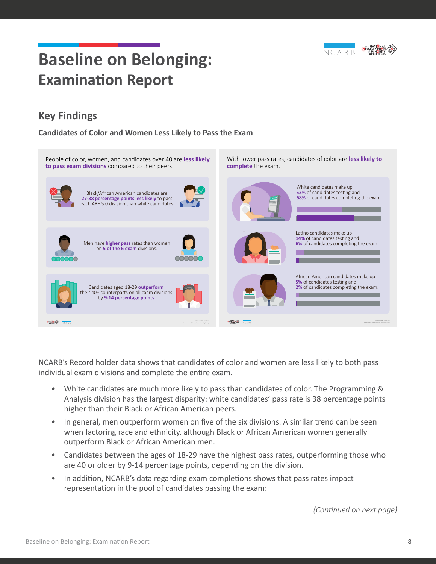

### **Key Findings**

**Candidates of Color and Women Less Likely to Pass the Exam** 



NCARB's Record holder data shows that candidates of color and women are less likely to both pass individual exam divisions and complete the entire exam.

- White candidates are much more likely to pass than candidates of color. The Programming & Analysis division has the largest disparity: white candidates' pass rate is 38 percentage points higher than their Black or African American peers.
- In general, men outperform women on five of the six divisions. A similar trend can be seen when factoring race and ethnicity, although Black or African American women generally outperform Black or African American men.
- Candidates between the ages of 18-29 have the highest pass rates, outperforming those who are 40 or older by 9-14 percentage points, depending on the division.
- In addition, NCARB's data regarding exam completions shows that pass rates impact representation in the pool of candidates passing the exam:

*(Continued on next page)*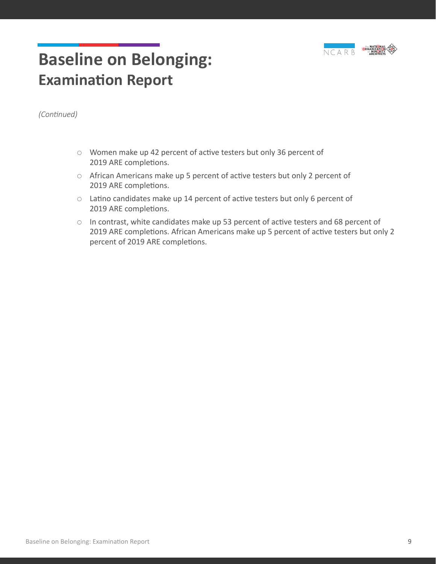

*(Continued)*

- $\circ$  Women make up 42 percent of active testers but only 36 percent of 2019 ARE completions.
- ${\circ}$  African Americans make up 5 percent of active testers but only 2 percent of 2019 ARE completions.
- $\circ$  Latino candidates make up 14 percent of active testers but only 6 percent of 2019 ARE completions.
- $\circ$  In contrast, white candidates make up 53 percent of active testers and 68 percent of 2019 ARE completions. African Americans make up 5 percent of active testers but only 2 percent of 2019 ARE completions.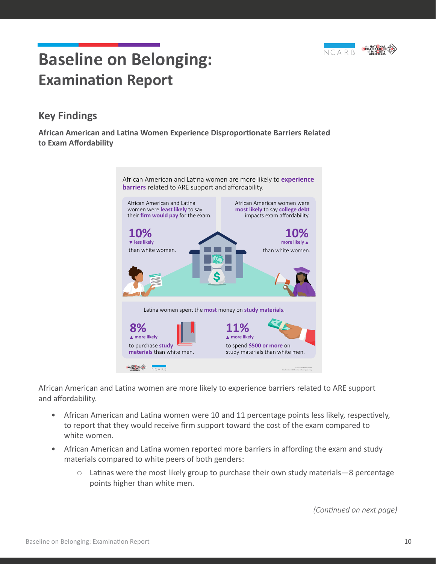

#### **Key Findings**

**African American and Latina Women Experience Disproportionate Barriers Related to Exam Affordability**



African American and Latina women are more likely to experience barriers related to ARE support and affordability.

- African American and Latina women were 10 and 11 percentage points less likely, respectively, to report that they would receive firm support toward the cost of the exam compared to white women.
- African American and Latina women reported more barriers in affording the exam and study materials compared to white peers of both genders:
	- $\circ$  Latinas were the most likely group to purchase their own study materials—8 percentage points higher than white men.

*(Continued on next page)*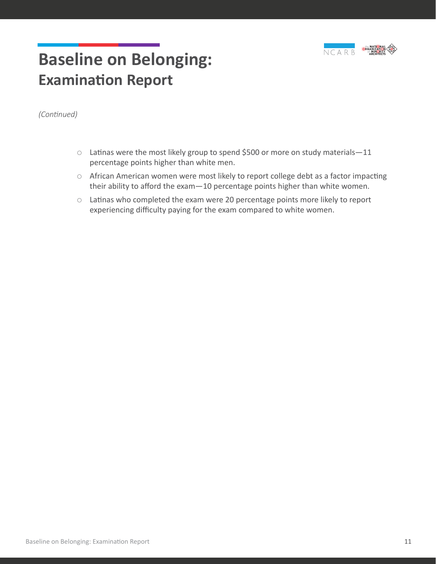

*(Continued)*

- ${\circ}$  Latinas were the most likely group to spend \$500 or more on study materials-11 percentage points higher than white men.
- { African American women were most likely to report college debt as a factor impacting their ability to afford the exam—10 percentage points higher than white women.
- $\circ$  Latinas who completed the exam were 20 percentage points more likely to report experiencing difficulty paying for the exam compared to white women.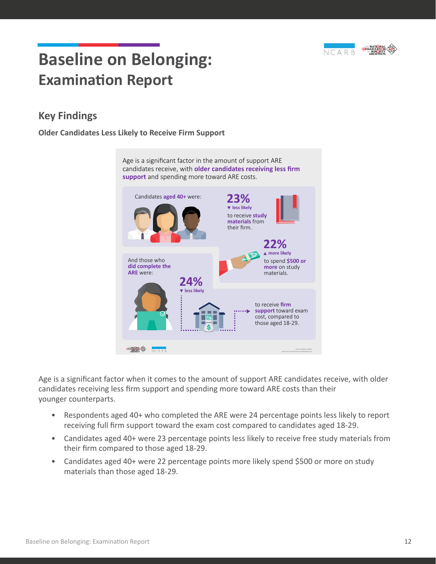

#### **Key Findings**

#### **Older Candidates Less Likely to Receive Firm Support**



Age is a significant factor when it comes to the amount of support ARE candidates receive, with older candidates receiving less firm support and spending more toward ARE costs than their younger counterparts.

- Respondents aged 40+ who completed the ARE were 24 percentage points less likely to report receiving full firm support toward the exam cost compared to candidates aged 18-29.
- Candidates aged 40+ were 23 percentage points less likely to receive free study materials from their firm compared to those aged 18-29.
- Candidates aged 40+ were 22 percentage points more likely spend \$500 or more on study materials than those aged 18-29.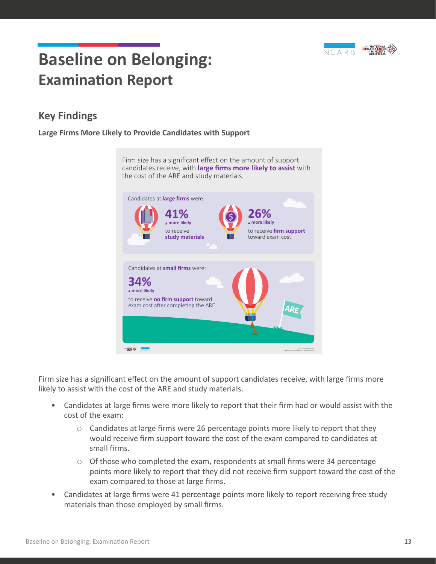

#### **Key Findings**

**Large Firms More Likely to Provide Candidates with Support**

Firm size has a significant effect on the amount of support candidates receive, with **large firms more likely to assist** with the cost of the ARE and study materials. Candidates at **large firms** were: **26% 41% more likely more likely**  to receive to receive **firm support study materials** toward exam cost Candidates at **small firms** were: **34% more likely**  to receive **no firm support** toward exam cost after completing the ARE **ARE STAR OF NCARE** © 2021 NCARB and NOMA Data from the 2020 Baseline on Belonging Survey

Firm size has a significant effect on the amount of support candidates receive, with large firms more likely to assist with the cost of the ARE and study materials.

- Candidates at large firms were more likely to report that their firm had or would assist with the cost of the exam:
	- $\circ$  Candidates at large firms were 26 percentage points more likely to report that they would receive firm support toward the cost of the exam compared to candidates at small firms.
	- $\circ$  Of those who completed the exam, respondents at small firms were 34 percentage points more likely to report that they did not receive firm support toward the cost of the exam compared to those at large firms.
- Candidates at large firms were 41 percentage points more likely to report receiving free study materials than those employed by small firms.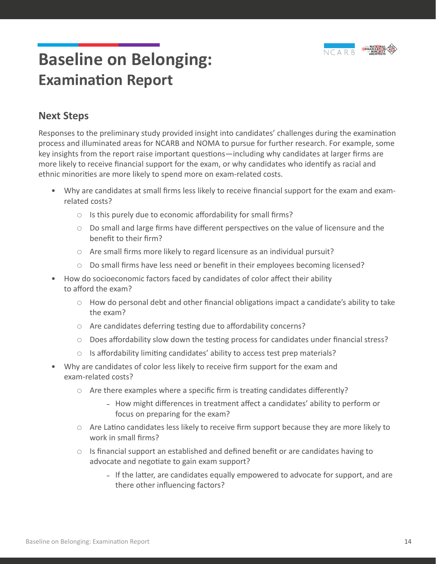

#### **Next Steps**

Responses to the preliminary study provided insight into candidates' challenges during the examination process and illuminated areas for NCARB and NOMA to pursue for further research. For example, some key insights from the report raise important questions—including why candidates at larger firms are more likely to receive financial support for the exam, or why candidates who identify as racial and ethnic minorities are more likely to spend more on exam-related costs.

- Why are candidates at small firms less likely to receive financial support for the exam and examrelated costs?
	- $\circ$  Is this purely due to economic affordability for small firms?
	- $\circ$  Do small and large firms have different perspectives on the value of licensure and the benefit to their firm?
	- $\circ$  Are small firms more likely to regard licensure as an individual pursuit?
	- $\circ$  Do small firms have less need or benefit in their employees becoming licensed?
- How do socioeconomic factors faced by candidates of color affect their ability to afford the exam?
	- $\circ$  How do personal debt and other financial obligations impact a candidate's ability to take the exam?
	- $\circ$  Are candidates deferring testing due to affordability concerns?
	- $\circ$  Does affordability slow down the testing process for candidates under financial stress?
	- $\circ$  Is affordability limiting candidates' ability to access test prep materials?
- Why are candidates of color less likely to receive firm support for the exam and exam-related costs?
	- $\circ$  Are there examples where a specific firm is treating candidates differently?
		- **–** How might differences in treatment affect a candidates' ability to perform or focus on preparing for the exam?
	- $\circ$  Are Latino candidates less likely to receive firm support because they are more likely to work in small firms?
	- $\circ$  Is financial support an established and defined benefit or are candidates having to advocate and negotiate to gain exam support?
		- **–** If the latter, are candidates equally empowered to advocate for support, and are there other influencing factors?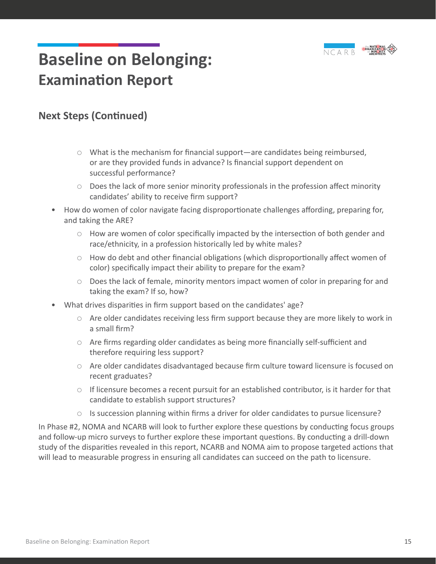

#### **Next Steps (Continued)**

- ${\circ}$  What is the mechanism for financial support—are candidates being reimbursed, or are they provided funds in advance? Is financial support dependent on successful performance?
- $\circ$  Does the lack of more senior minority professionals in the profession affect minority candidates' ability to receive firm support?
- How do women of color navigate facing disproportionate challenges affording, preparing for, and taking the ARE?
	- $\circ$  How are women of color specifically impacted by the intersection of both gender and race/ethnicity, in a profession historically led by white males?
	- $\circ$  How do debt and other financial obligations (which disproportionally affect women of color) specifically impact their ability to prepare for the exam?
	- $\circ$  Does the lack of female, minority mentors impact women of color in preparing for and taking the exam? If so, how?
- What drives disparities in firm support based on the candidates' age?
	- $\circ$  Are older candidates receiving less firm support because they are more likely to work in a small firm?
	- $\circ$  Are firms regarding older candidates as being more financially self-sufficient and therefore requiring less support?
	- $\circ$  Are older candidates disadvantaged because firm culture toward licensure is focused on recent graduates?
	- $\circ$  If licensure becomes a recent pursuit for an established contributor, is it harder for that candidate to establish support structures?
	- $\circ$  Is succession planning within firms a driver for older candidates to pursue licensure?

In Phase #2, NOMA and NCARB will look to further explore these questions by conducting focus groups and follow-up micro surveys to further explore these important questions. By conducting a drill-down study of the disparities revealed in this report, NCARB and NOMA aim to propose targeted actions that will lead to measurable progress in ensuring all candidates can succeed on the path to licensure.